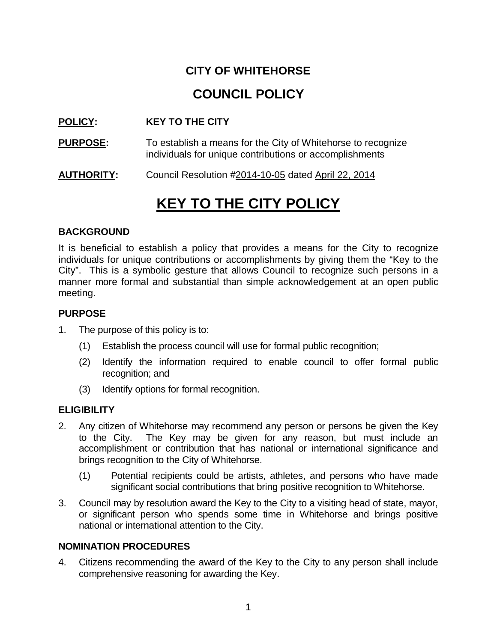### **CITY OF WHITEHORSE**

## **COUNCIL POLICY**

#### **POLICY: KEY TO THE CITY**

- **PURPOSE:** To establish a means for the City of Whitehorse to recognize individuals for unique contributions or accomplishments
- **AUTHORITY:** Council Resolution #2014-10-05 dated April 22, 2014

# **KEY TO THE CITY POLICY**

#### **BACKGROUND**

It is beneficial to establish a policy that provides a means for the City to recognize individuals for unique contributions or accomplishments by giving them the "Key to the City". This is a symbolic gesture that allows Council to recognize such persons in a manner more formal and substantial than simple acknowledgement at an open public meeting.

#### **PURPOSE**

- 1. The purpose of this policy is to:
	- (1) Establish the process council will use for formal public recognition;
	- (2) Identify the information required to enable council to offer formal public recognition; and
	- (3) Identify options for formal recognition.

#### **ELIGIBILITY**

- 2. Any citizen of Whitehorse may recommend any person or persons be given the Key to the City. The Key may be given for any reason, but must include an accomplishment or contribution that has national or international significance and brings recognition to the City of Whitehorse.
	- (1) Potential recipients could be artists, athletes, and persons who have made significant social contributions that bring positive recognition to Whitehorse.
- 3. Council may by resolution award the Key to the City to a visiting head of state, mayor, or significant person who spends some time in Whitehorse and brings positive national or international attention to the City.

#### **NOMINATION PROCEDURES**

4. Citizens recommending the award of the Key to the City to any person shall include comprehensive reasoning for awarding the Key.